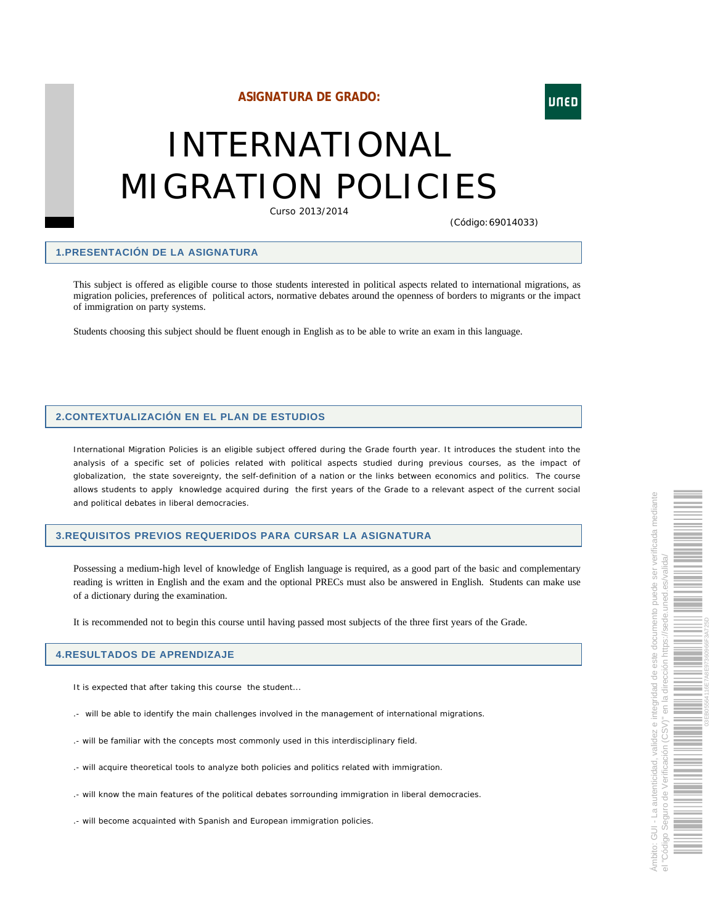# **ASIGNATURA DE GRADO:**

# INTERNATIONAL MIGRATION POLICIES

Curso 2013/2014

(Código:69014033)

UNED

#### **1.PRESENTACIÓN DE LA ASIGNATURA**

This subject is offered as eligible course to those students interested in political aspects related to international migrations, as migration policies, preferences of political actors, normative debates around the openness of borders to migrants or the impact of immigration on party systems.

Students choosing this subject should be fluent enough in English as to be able to write an exam in this language.

## **2.CONTEXTUALIZACIÓN EN EL PLAN DE ESTUDIOS**

International Migration Policies is an eligible subject offered during the Grade fourth year. It introduces the student into the analysis of a specific set of policies related with political aspects studied during previous courses, as the impact of globalization, the state sovereignty, the self-definition of a nation or the links between economics and politics. The course allows students to apply knowledge acquired during the first years of the Grade to a relevant aspect of the current social and political debates in liberal democracies.

#### **3.REQUISITOS PREVIOS REQUERIDOS PARA CURSAR LA ASIGNATURA**

Possessing a medium-high level of knowledge of English language is required, as a good part of the basic and complementary reading is written in English and the exam and the optional PRECs must also be answered in English. Students can make use of a dictionary during the examination.

It is recommended not to begin this course until having passed most subjects of the three first years of the Grade.

#### **4.RESULTADOS DE APRENDIZAJE**

It is expected that after taking this course the student...

- .- will be able to identify the main challenges involved in the management of international migrations.
- .- will be familiar with the concepts most commonly used in this interdisciplinary field.
- .- will acquire theoretical tools to analyze both policies and politics related with immigration.
- .- will know the main features of the political debates sorrounding immigration in liberal democracies.
- .- will become acquainted with Spanish and European immigration policies.

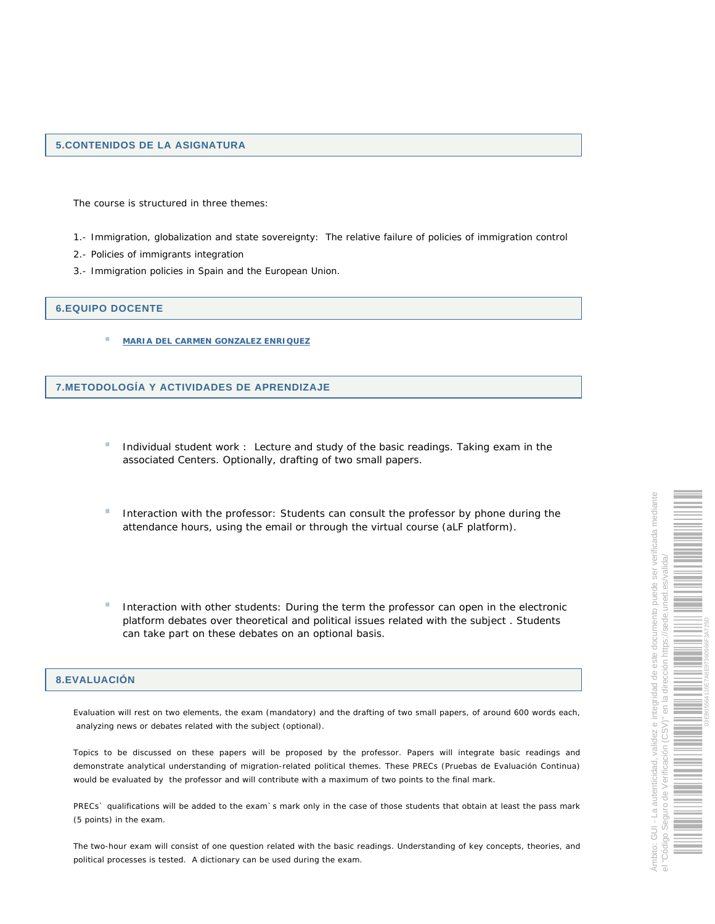### **5.CONTENIDOS DE LA ASIGNATURA**

The course is structured in three themes:

- 1.- Immigration, globalization and state sovereignty: The relative failure of policies of immigration control
- 2.- Policies of immigrants integration
- 3.- Immigration policies in Spain and the European Union.

## **6.EQUIPO DOCENTE**

**MARIA DEL CARMEN GONZALEZ ENRIQUEZ** 

# **7.METODOLOGÍA Y ACTIVIDADES DE APRENDIZAJE**

- a. Individual student work : Lecture and study of the basic readings. Taking exam in the associated Centers. Optionally, drafting of two small papers.
- Interaction with the professor: Students can consult the professor by phone during the attendance hours, using the email or through the virtual course (aLF platform).
- $\mathcal{L}_{\mathcal{A}}$ Interaction with other students: During the term the professor can open in the electronic platform debates over theoretical and political issues related with the subject . Students can take part on these debates on an optional basis.

## **8.EVALUACIÓN**

Evaluation will rest on two elements, the exam (mandatory) and the drafting of two small papers, of around 600 words each, analyzing news or debates related with the subject (optional).

Topics to be discussed on these papers will be proposed by the professor. Papers will integrate basic readings and demonstrate analytical understanding of migration-related political themes. These PRECs (Pruebas de Evaluación Continua) would be evaluated by the professor and will contribute with a maximum of two points to the final mark.

PRECs` qualifications will be added to the exam`s mark only in the case of those students that obtain at least the pass mark (5 points) in the exam.

The two-hour exam will consist of one question related with the basic readings. Understanding of key concepts, theories, and political processes is tested. A dictionary can be used during the exam.